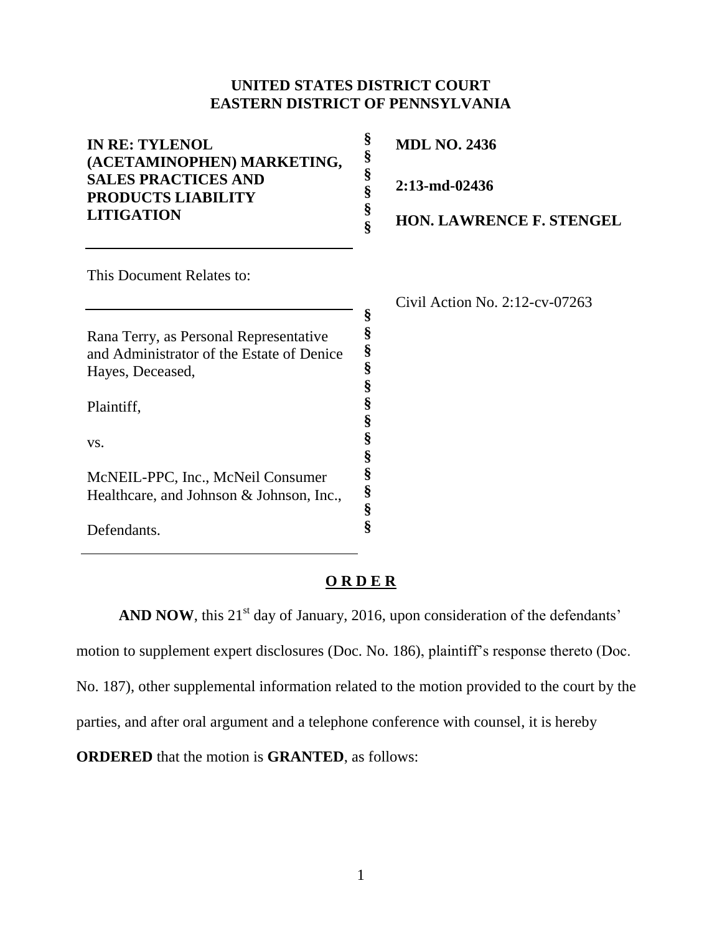## **UNITED STATES DISTRICT COURT EASTERN DISTRICT OF PENNSYLVANIA**

| <b>IN RE: TYLENOL</b><br>(ACETAMINOPHEN) MARKETING, | §<br>§ | <b>MDL NO. 2436</b>               |
|-----------------------------------------------------|--------|-----------------------------------|
| <b>SALES PRACTICES AND</b><br>PRODUCTS LIABILITY    | §<br>§ | $2:13$ -md-02436                  |
| <b>LITIGATION</b>                                   | §<br>Ş | <b>HON. LAWRENCE F. STENGEL</b>   |
| This Document Relates to:                           |        |                                   |
|                                                     |        | Civil Action No. $2:12$ -cv-07263 |
|                                                     | §<br>§ |                                   |
| Rana Terry, as Personal Representative              | §      |                                   |
| and Administrator of the Estate of Denice           | §      |                                   |
| Hayes, Deceased,                                    | §      |                                   |
| Plaintiff,                                          | §<br>§ |                                   |
| VS.                                                 | §<br>§ |                                   |
| McNEIL-PPC, Inc., McNeil Consumer                   | §      |                                   |
| Healthcare, and Johnson & Johnson, Inc.,            | §      |                                   |
|                                                     | §      |                                   |
| Defendants.                                         | §      |                                   |

## **O R D E R**

**AND NOW**, this  $21<sup>st</sup>$  day of January, 2016, upon consideration of the defendants' motion to supplement expert disclosures (Doc. No. 186), plaintiff's response thereto (Doc. No. 187), other supplemental information related to the motion provided to the court by the parties, and after oral argument and a telephone conference with counsel, it is hereby **ORDERED** that the motion is **GRANTED**, as follows: